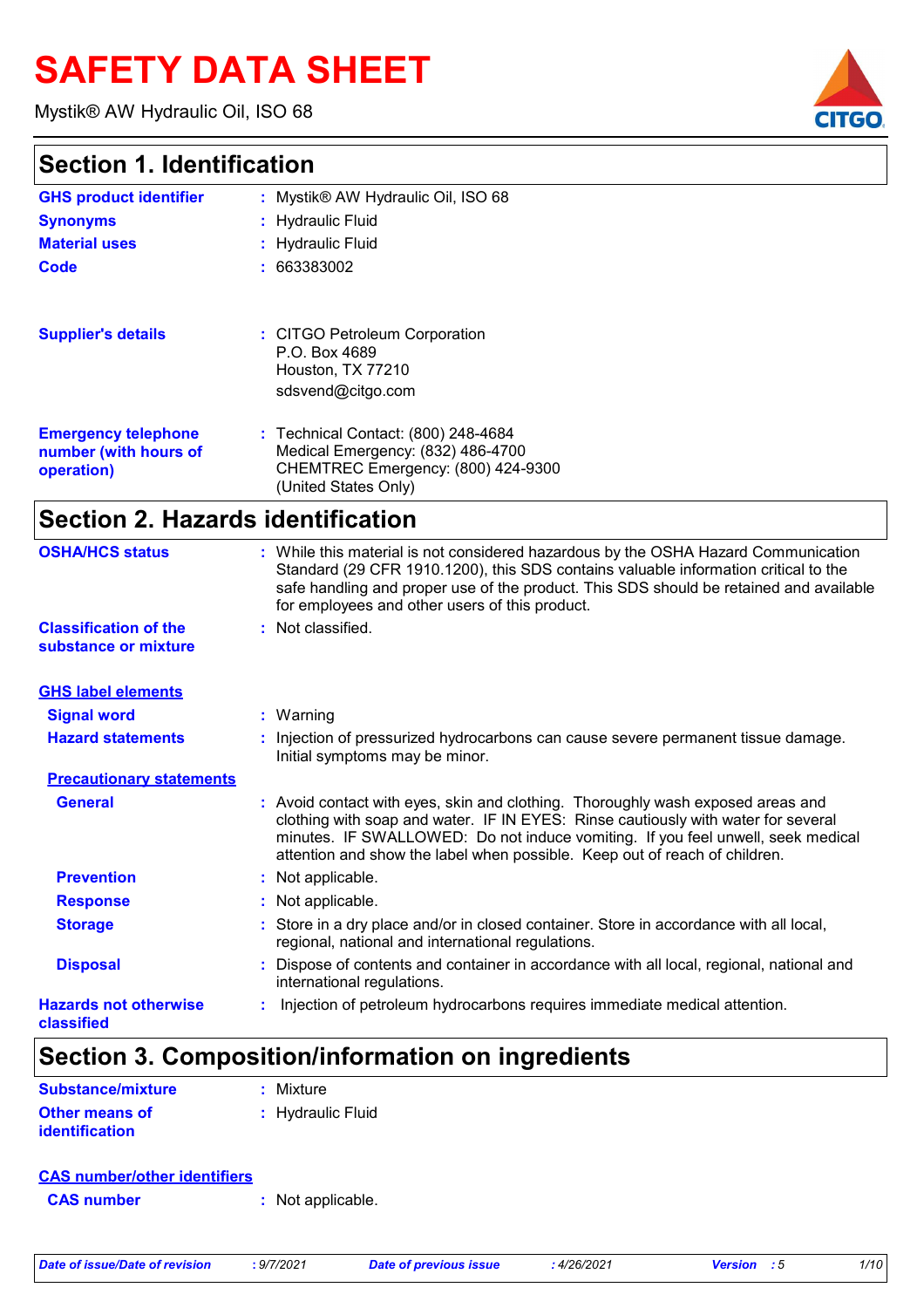# **SAFETY DATA SHEET**

Mystik® AW Hydraulic Oil, ISO 68

## **Section 1. Identification**

| <b>GHS product identifier</b>                                     | : Mystik® AW Hydraulic Oil, ISO 68                                                                                                     |
|-------------------------------------------------------------------|----------------------------------------------------------------------------------------------------------------------------------------|
| <b>Synonyms</b>                                                   | : Hydraulic Fluid                                                                                                                      |
| <b>Material uses</b>                                              | : Hydraulic Fluid                                                                                                                      |
| Code                                                              | : 663383002                                                                                                                            |
| <b>Supplier's details</b>                                         | : CITGO Petroleum Corporation<br>P.O. Box 4689<br>Houston, TX 77210<br>sdsvend@citgo.com                                               |
| <b>Emergency telephone</b><br>number (with hours of<br>operation) | : Technical Contact: (800) 248-4684<br>Medical Emergency: (832) 486-4700<br>CHEMTREC Emergency: (800) 424-9300<br>(United States Only) |

## **Section 2. Hazards identification**

| : While this material is not considered hazardous by the OSHA Hazard Communication<br>Standard (29 CFR 1910.1200), this SDS contains valuable information critical to the<br>safe handling and proper use of the product. This SDS should be retained and available<br>for employees and other users of this product.                 |
|---------------------------------------------------------------------------------------------------------------------------------------------------------------------------------------------------------------------------------------------------------------------------------------------------------------------------------------|
| : Not classified.                                                                                                                                                                                                                                                                                                                     |
|                                                                                                                                                                                                                                                                                                                                       |
| : Warning                                                                                                                                                                                                                                                                                                                             |
| : Injection of pressurized hydrocarbons can cause severe permanent tissue damage.<br>Initial symptoms may be minor.                                                                                                                                                                                                                   |
|                                                                                                                                                                                                                                                                                                                                       |
| : Avoid contact with eyes, skin and clothing. Thoroughly wash exposed areas and<br>clothing with soap and water. IF IN EYES: Rinse cautiously with water for several<br>minutes. IF SWALLOWED: Do not induce vomiting. If you feel unwell, seek medical<br>attention and show the label when possible. Keep out of reach of children. |
| : Not applicable.                                                                                                                                                                                                                                                                                                                     |
| : Not applicable.                                                                                                                                                                                                                                                                                                                     |
| : Store in a dry place and/or in closed container. Store in accordance with all local,<br>regional, national and international regulations.                                                                                                                                                                                           |
| : Dispose of contents and container in accordance with all local, regional, national and<br>international regulations.                                                                                                                                                                                                                |
| Injection of petroleum hydrocarbons requires immediate medical attention.                                                                                                                                                                                                                                                             |
|                                                                                                                                                                                                                                                                                                                                       |

## **Section 3. Composition/information on ingredients**

| <b>Substance/mixture</b> | : Mixture         |
|--------------------------|-------------------|
| <b>Other means of</b>    | : Hydraulic Fluid |
| <i>identification</i>    |                   |

### **CAS number/other identifiers**

**CAS number :** Not applicable.

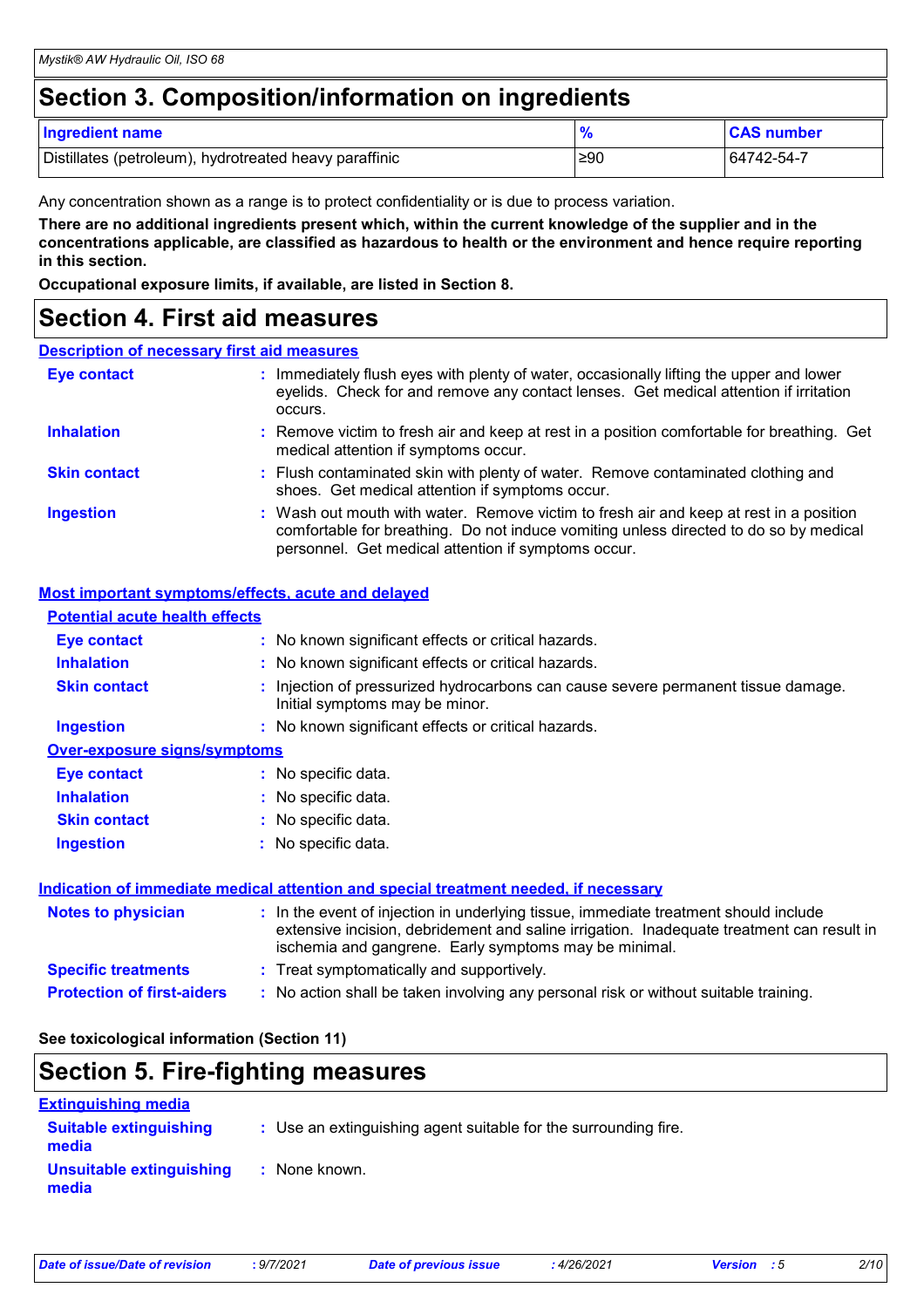## **Section 3. Composition/information on ingredients**

| <b>Ingredient name</b>                                 |     | <b>CAS number</b> |
|--------------------------------------------------------|-----|-------------------|
| Distillates (petroleum), hydrotreated heavy paraffinic | ≥90 | 64742-54-7        |

Any concentration shown as a range is to protect confidentiality or is due to process variation.

**There are no additional ingredients present which, within the current knowledge of the supplier and in the concentrations applicable, are classified as hazardous to health or the environment and hence require reporting in this section.**

**Occupational exposure limits, if available, are listed in Section 8.**

### **Section 4. First aid measures**

### **Description of necessary first aid measures**

| <b>Eye contact</b>  | : Immediately flush eyes with plenty of water, occasionally lifting the upper and lower<br>eyelids. Check for and remove any contact lenses. Get medical attention if irritation<br>occurs.                                            |
|---------------------|----------------------------------------------------------------------------------------------------------------------------------------------------------------------------------------------------------------------------------------|
| <b>Inhalation</b>   | : Remove victim to fresh air and keep at rest in a position comfortable for breathing. Get<br>medical attention if symptoms occur.                                                                                                     |
| <b>Skin contact</b> | : Flush contaminated skin with plenty of water. Remove contaminated clothing and<br>shoes. Get medical attention if symptoms occur.                                                                                                    |
| <b>Ingestion</b>    | : Wash out mouth with water. Remove victim to fresh air and keep at rest in a position<br>comfortable for breathing. Do not induce vomiting unless directed to do so by medical<br>personnel. Get medical attention if symptoms occur. |

### **Most important symptoms/effects, acute and delayed**

| <b>Potential acute health effects</b> |                                                                                                                                                                                                                                            |
|---------------------------------------|--------------------------------------------------------------------------------------------------------------------------------------------------------------------------------------------------------------------------------------------|
| <b>Eye contact</b>                    | : No known significant effects or critical hazards.                                                                                                                                                                                        |
| <b>Inhalation</b>                     | : No known significant effects or critical hazards.                                                                                                                                                                                        |
| <b>Skin contact</b>                   | : Injection of pressurized hydrocarbons can cause severe permanent tissue damage.<br>Initial symptoms may be minor.                                                                                                                        |
| <b>Ingestion</b>                      | : No known significant effects or critical hazards.                                                                                                                                                                                        |
| <b>Over-exposure signs/symptoms</b>   |                                                                                                                                                                                                                                            |
| <b>Eye contact</b>                    | : No specific data.                                                                                                                                                                                                                        |
| <b>Inhalation</b>                     | : No specific data.                                                                                                                                                                                                                        |
| <b>Skin contact</b>                   | : No specific data.                                                                                                                                                                                                                        |
| <b>Ingestion</b>                      | : No specific data.                                                                                                                                                                                                                        |
|                                       | Indication of immediate medical attention and special treatment needed, if necessary                                                                                                                                                       |
| <b>Notes to physician</b>             | : In the event of injection in underlying tissue, immediate treatment should include<br>extensive incision, debridement and saline irrigation. Inadequate treatment can result in<br>ischemia and gangrene. Early symptoms may be minimal. |
| <b>Specific treatments</b>            | : Treat symptomatically and supportively.                                                                                                                                                                                                  |
| <b>Protection of first-aiders</b>     | : No action shall be taken involving any personal risk or without suitable training.                                                                                                                                                       |

**See toxicological information (Section 11)**

## **Section 5. Fire-fighting measures**

| <b>Extinguishing media</b>             |                                                                 |
|----------------------------------------|-----------------------------------------------------------------|
| <b>Suitable extinguishing</b><br>media | : Use an extinguishing agent suitable for the surrounding fire. |
| Unsuitable extinguishing<br>media      | : None known.                                                   |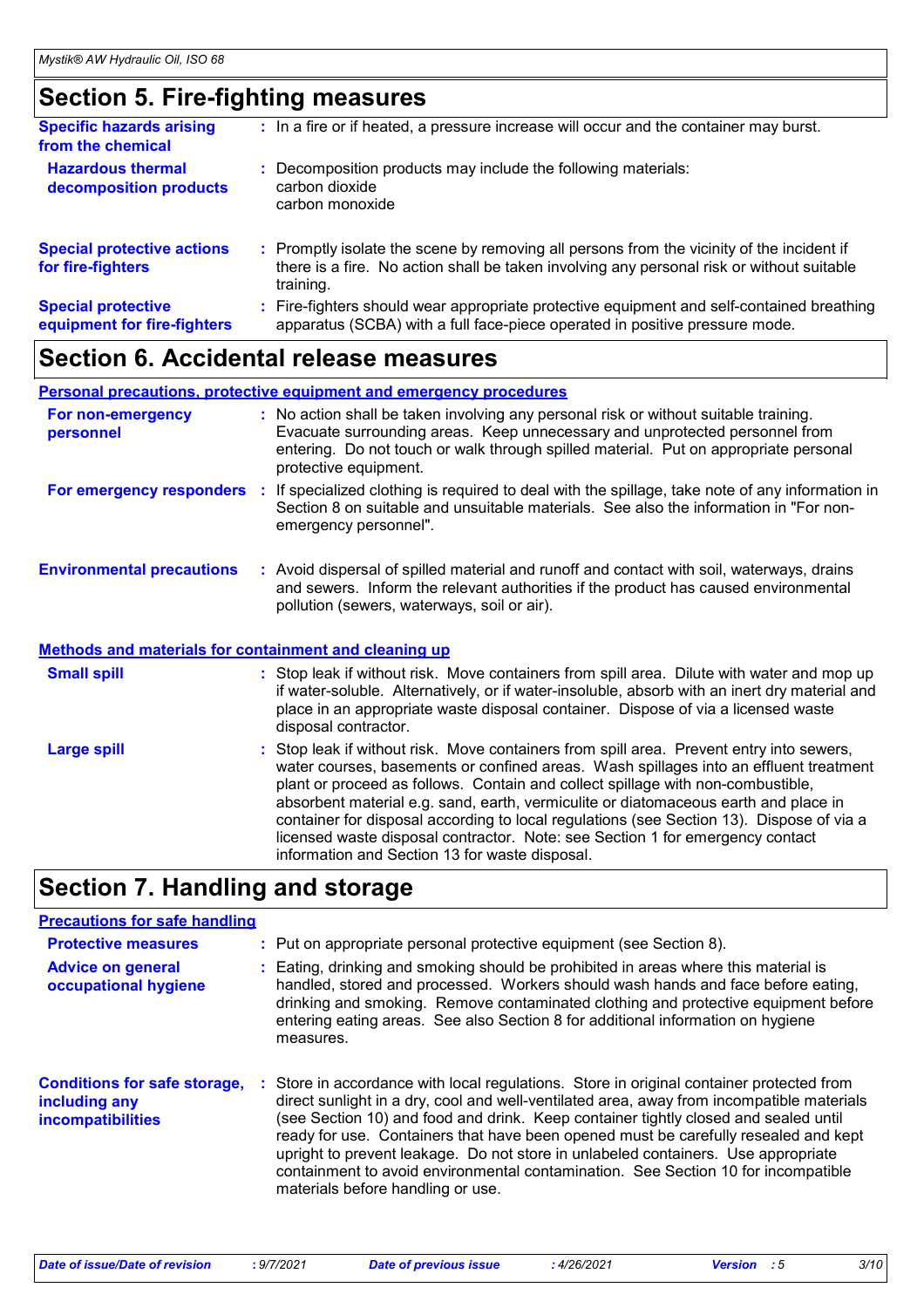## **Section 5. Fire-fighting measures**

| <b>Specific hazards arising</b><br>from the chemical     | : In a fire or if heated, a pressure increase will occur and the container may burst.                                                                                                               |
|----------------------------------------------------------|-----------------------------------------------------------------------------------------------------------------------------------------------------------------------------------------------------|
| <b>Hazardous thermal</b><br>decomposition products       | Decomposition products may include the following materials:<br>carbon dioxide<br>carbon monoxide                                                                                                    |
| <b>Special protective actions</b><br>for fire-fighters   | : Promptly isolate the scene by removing all persons from the vicinity of the incident if<br>there is a fire. No action shall be taken involving any personal risk or without suitable<br>training. |
| <b>Special protective</b><br>equipment for fire-fighters | Fire-fighters should wear appropriate protective equipment and self-contained breathing<br>apparatus (SCBA) with a full face-piece operated in positive pressure mode.                              |

## **Section 6. Accidental release measures**

### **Personal precautions, protective equipment and emergency procedures**

| For non-emergency<br>personnel                               | : No action shall be taken involving any personal risk or without suitable training.<br>Evacuate surrounding areas. Keep unnecessary and unprotected personnel from<br>entering. Do not touch or walk through spilled material. Put on appropriate personal<br>protective equipment.                                                                                                                                                                    |
|--------------------------------------------------------------|---------------------------------------------------------------------------------------------------------------------------------------------------------------------------------------------------------------------------------------------------------------------------------------------------------------------------------------------------------------------------------------------------------------------------------------------------------|
| For emergency responders :                                   | If specialized clothing is required to deal with the spillage, take note of any information in<br>Section 8 on suitable and unsuitable materials. See also the information in "For non-<br>emergency personnel".                                                                                                                                                                                                                                        |
| <b>Environmental precautions</b>                             | : Avoid dispersal of spilled material and runoff and contact with soil, waterways, drains<br>and sewers. Inform the relevant authorities if the product has caused environmental<br>pollution (sewers, waterways, soil or air).                                                                                                                                                                                                                         |
| <b>Methods and materials for containment and cleaning up</b> |                                                                                                                                                                                                                                                                                                                                                                                                                                                         |
| <b>Small spill</b>                                           | : Stop leak if without risk. Move containers from spill area. Dilute with water and mop up<br>if water-soluble. Alternatively, or if water-insoluble, absorb with an inert dry material and<br>place in an appropriate waste disposal container. Dispose of via a licensed waste<br>disposal contractor.                                                                                                                                                |
| <b>Large spill</b>                                           | : Stop leak if without risk. Move containers from spill area. Prevent entry into sewers,<br>water courses, basements or confined areas. Wash spillages into an effluent treatment<br>plant or proceed as follows. Contain and collect spillage with non-combustible,<br>absorbent material e.g. sand, earth, vermiculite or diatomaceous earth and place in<br>container for disposal according to local regulations (see Section 13). Dispose of via a |

## **Section 7. Handling and storage**

### **Precautions for safe handling**

| <b>Protective measures</b>                                                       | : Put on appropriate personal protective equipment (see Section 8).                                                                                                                                                                                                                                                                                                                                                                                                                                                                                                              |
|----------------------------------------------------------------------------------|----------------------------------------------------------------------------------------------------------------------------------------------------------------------------------------------------------------------------------------------------------------------------------------------------------------------------------------------------------------------------------------------------------------------------------------------------------------------------------------------------------------------------------------------------------------------------------|
| <b>Advice on general</b><br>occupational hygiene                                 | Eating, drinking and smoking should be prohibited in areas where this material is<br>handled, stored and processed. Workers should wash hands and face before eating,<br>drinking and smoking. Remove contaminated clothing and protective equipment before<br>entering eating areas. See also Section 8 for additional information on hygiene<br>measures.                                                                                                                                                                                                                      |
| <b>Conditions for safe storage,</b><br>including any<br><b>incompatibilities</b> | Store in accordance with local regulations. Store in original container protected from<br>direct sunlight in a dry, cool and well-ventilated area, away from incompatible materials<br>(see Section 10) and food and drink. Keep container tightly closed and sealed until<br>ready for use. Containers that have been opened must be carefully resealed and kept<br>upright to prevent leakage. Do not store in unlabeled containers. Use appropriate<br>containment to avoid environmental contamination. See Section 10 for incompatible<br>materials before handling or use. |

information and Section 13 for waste disposal.

licensed waste disposal contractor. Note: see Section 1 for emergency contact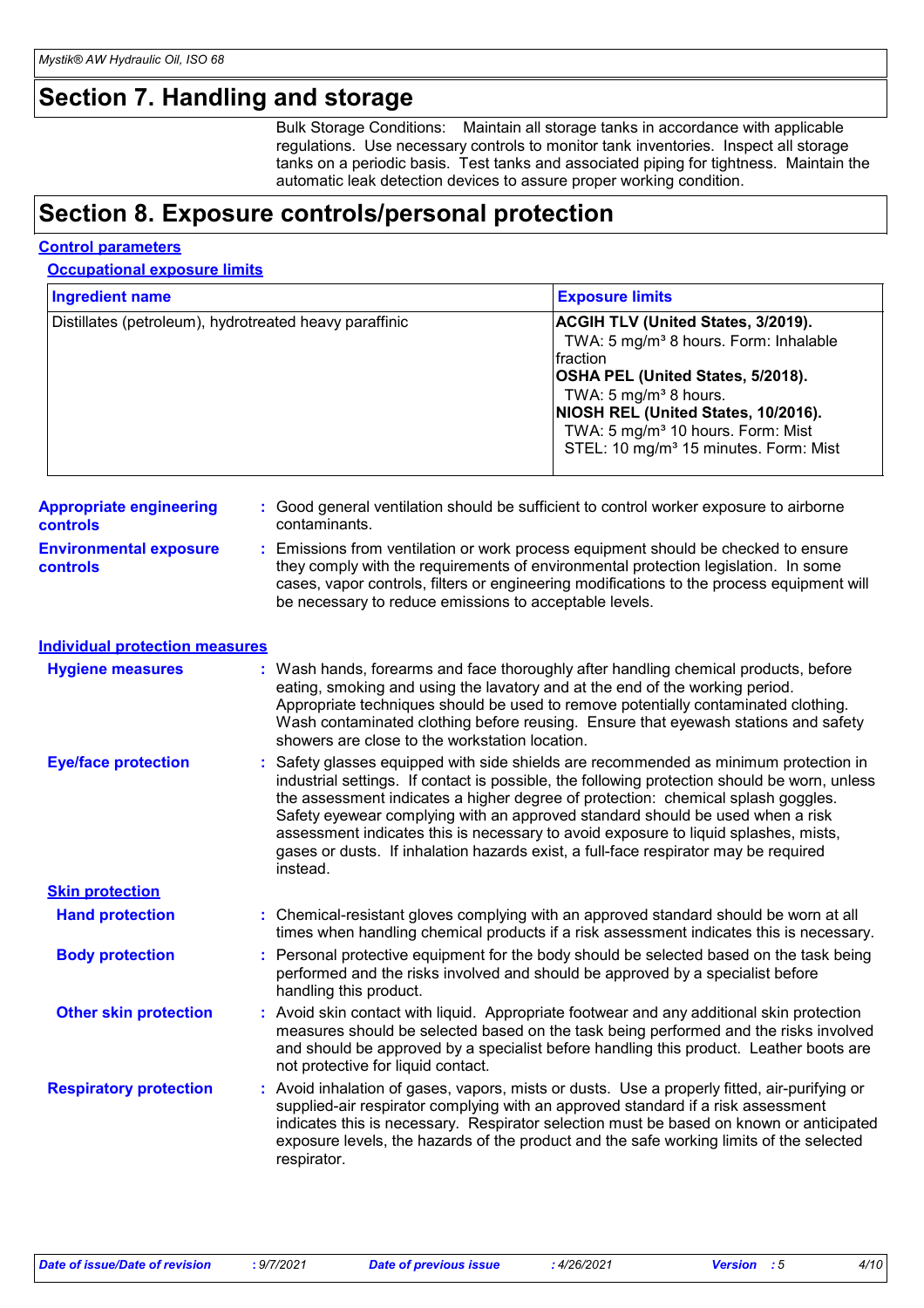## **Section 7. Handling and storage**

Bulk Storage Conditions: Maintain all storage tanks in accordance with applicable regulations. Use necessary controls to monitor tank inventories. Inspect all storage tanks on a periodic basis. Test tanks and associated piping for tightness. Maintain the automatic leak detection devices to assure proper working condition.

## **Section 8. Exposure controls/personal protection**

|--|

**Occupational exposure limits**

| <b>Ingredient name</b>                                 |  |                                                                                                                                                                                                                                                                                                                                                                                                   | <b>Exposure limits</b>                                                                                                                                                                                                                                                                                                                                                                                                                                                                                                                  |
|--------------------------------------------------------|--|---------------------------------------------------------------------------------------------------------------------------------------------------------------------------------------------------------------------------------------------------------------------------------------------------------------------------------------------------------------------------------------------------|-----------------------------------------------------------------------------------------------------------------------------------------------------------------------------------------------------------------------------------------------------------------------------------------------------------------------------------------------------------------------------------------------------------------------------------------------------------------------------------------------------------------------------------------|
| Distillates (petroleum), hydrotreated heavy paraffinic |  |                                                                                                                                                                                                                                                                                                                                                                                                   | ACGIH TLV (United States, 3/2019).<br>TWA: 5 mg/m <sup>3</sup> 8 hours. Form: Inhalable<br>fraction<br>OSHA PEL (United States, 5/2018).<br>TWA: 5 mg/m <sup>3</sup> 8 hours.<br>NIOSH REL (United States, 10/2016).<br>TWA: 5 mg/m <sup>3</sup> 10 hours. Form: Mist<br>STEL: 10 mg/m <sup>3</sup> 15 minutes. Form: Mist                                                                                                                                                                                                              |
| <b>Appropriate engineering</b><br>controls             |  | contaminants.                                                                                                                                                                                                                                                                                                                                                                                     | : Good general ventilation should be sufficient to control worker exposure to airborne                                                                                                                                                                                                                                                                                                                                                                                                                                                  |
| <b>Environmental exposure</b><br>controls              |  | : Emissions from ventilation or work process equipment should be checked to ensure<br>they comply with the requirements of environmental protection legislation. In some<br>cases, vapor controls, filters or engineering modifications to the process equipment will<br>be necessary to reduce emissions to acceptable levels.                                                                   |                                                                                                                                                                                                                                                                                                                                                                                                                                                                                                                                         |
| <b>Individual protection measures</b>                  |  |                                                                                                                                                                                                                                                                                                                                                                                                   |                                                                                                                                                                                                                                                                                                                                                                                                                                                                                                                                         |
| <b>Hygiene measures</b>                                |  | : Wash hands, forearms and face thoroughly after handling chemical products, before<br>eating, smoking and using the lavatory and at the end of the working period.<br>Appropriate techniques should be used to remove potentially contaminated clothing.<br>Wash contaminated clothing before reusing. Ensure that eyewash stations and safety<br>showers are close to the workstation location. |                                                                                                                                                                                                                                                                                                                                                                                                                                                                                                                                         |
| <b>Eye/face protection</b>                             |  | instead.                                                                                                                                                                                                                                                                                                                                                                                          | : Safety glasses equipped with side shields are recommended as minimum protection in<br>industrial settings. If contact is possible, the following protection should be worn, unless<br>the assessment indicates a higher degree of protection: chemical splash goggles.<br>Safety eyewear complying with an approved standard should be used when a risk<br>assessment indicates this is necessary to avoid exposure to liquid splashes, mists,<br>gases or dusts. If inhalation hazards exist, a full-face respirator may be required |
| <b>Skin protection</b>                                 |  |                                                                                                                                                                                                                                                                                                                                                                                                   |                                                                                                                                                                                                                                                                                                                                                                                                                                                                                                                                         |
| <b>Hand protection</b>                                 |  | : Chemical-resistant gloves complying with an approved standard should be worn at all<br>times when handling chemical products if a risk assessment indicates this is necessary.                                                                                                                                                                                                                  |                                                                                                                                                                                                                                                                                                                                                                                                                                                                                                                                         |
| <b>Body protection</b>                                 |  | : Personal protective equipment for the body should be selected based on the task being<br>performed and the risks involved and should be approved by a specialist before<br>handling this product.                                                                                                                                                                                               |                                                                                                                                                                                                                                                                                                                                                                                                                                                                                                                                         |
| <b>Other skin protection</b>                           |  | : Avoid skin contact with liquid. Appropriate footwear and any additional skin protection<br>measures should be selected based on the task being performed and the risks involved<br>and should be approved by a specialist before handling this product. Leather boots are<br>not protective for liquid contact.                                                                                 |                                                                                                                                                                                                                                                                                                                                                                                                                                                                                                                                         |
| <b>Respiratory protection</b>                          |  | respirator.                                                                                                                                                                                                                                                                                                                                                                                       | : Avoid inhalation of gases, vapors, mists or dusts. Use a properly fitted, air-purifying or<br>supplied-air respirator complying with an approved standard if a risk assessment<br>indicates this is necessary. Respirator selection must be based on known or anticipated<br>exposure levels, the hazards of the product and the safe working limits of the selected                                                                                                                                                                  |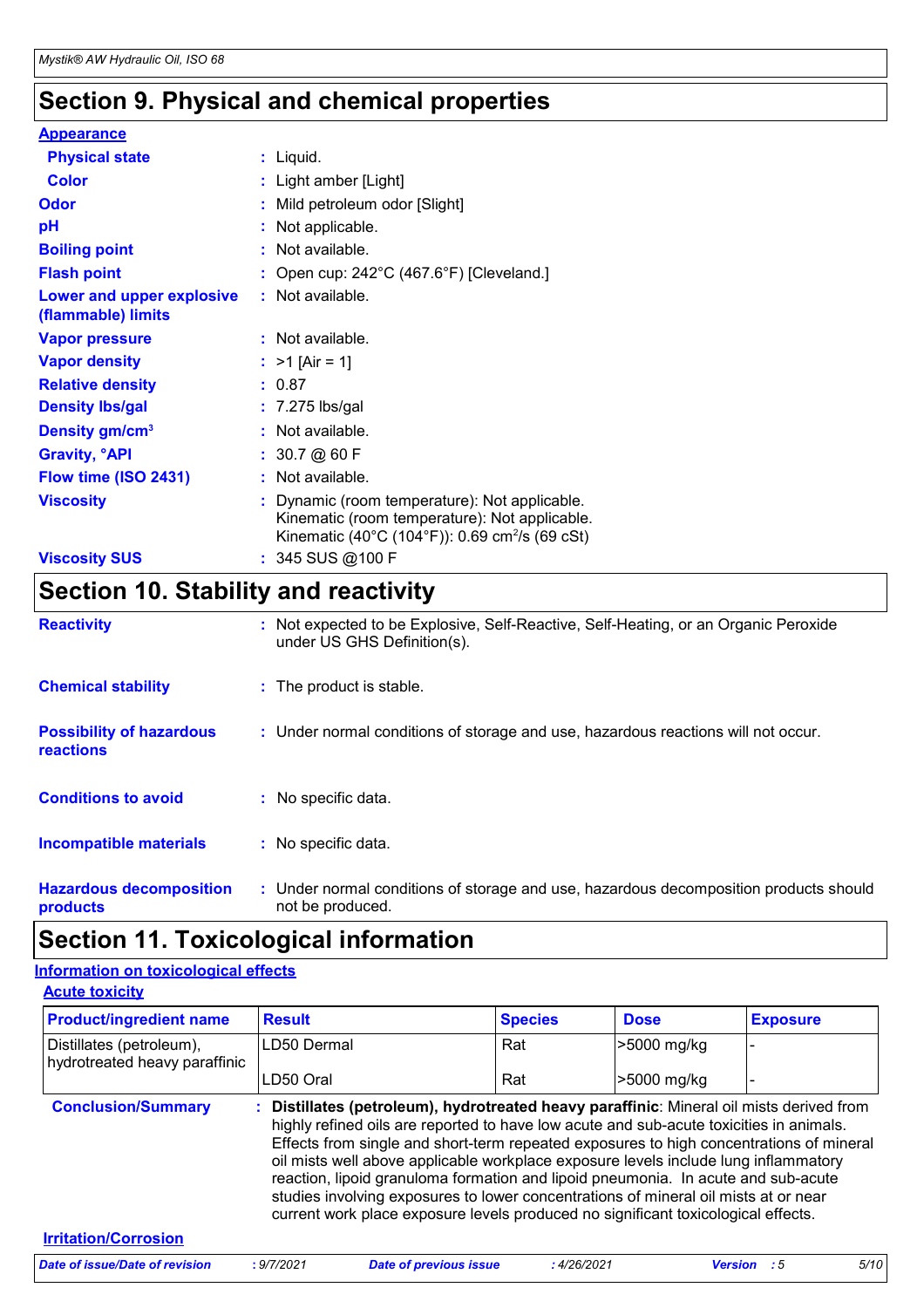## **Section 9. Physical and chemical properties**

| <b>Appearance</b>                               |                                                                                                                                                              |
|-------------------------------------------------|--------------------------------------------------------------------------------------------------------------------------------------------------------------|
| <b>Physical state</b>                           | $:$ Liquid.                                                                                                                                                  |
| <b>Color</b>                                    | : Light amber [Light]                                                                                                                                        |
| <b>Odor</b>                                     | : Mild petroleum odor [Slight]                                                                                                                               |
| pH                                              | : Not applicable.                                                                                                                                            |
| <b>Boiling point</b>                            | : Not available.                                                                                                                                             |
| <b>Flash point</b>                              | : Open cup: $242^{\circ}$ C (467.6°F) [Cleveland.]                                                                                                           |
| Lower and upper explosive<br>(flammable) limits | : Not available.                                                                                                                                             |
| <b>Vapor pressure</b>                           | : Not available.                                                                                                                                             |
| <b>Vapor density</b>                            | : $>1$ [Air = 1]                                                                                                                                             |
| <b>Relative density</b>                         | : 0.87                                                                                                                                                       |
| <b>Density Ibs/gal</b>                          | $: 7.275$ lbs/gal                                                                                                                                            |
| Density gm/cm <sup>3</sup>                      | : Not available.                                                                                                                                             |
| <b>Gravity, <sup>o</sup>API</b>                 | : 30.7@60F                                                                                                                                                   |
| Flow time (ISO 2431)                            | : Not available.                                                                                                                                             |
| <b>Viscosity</b>                                | : Dynamic (room temperature): Not applicable.<br>Kinematic (room temperature): Not applicable.<br>Kinematic (40°C (104°F)): 0.69 cm <sup>2</sup> /s (69 cSt) |
| <b>Viscosity SUS</b>                            | $: 345$ SUS @ 100 F                                                                                                                                          |

## **Section 10. Stability and reactivity**

| <b>Reactivity</b>                                   | : Not expected to be Explosive, Self-Reactive, Self-Heating, or an Organic Peroxide<br>under US GHS Definition(s). |
|-----------------------------------------------------|--------------------------------------------------------------------------------------------------------------------|
| <b>Chemical stability</b>                           | : The product is stable.                                                                                           |
| <b>Possibility of hazardous</b><br><b>reactions</b> | : Under normal conditions of storage and use, hazardous reactions will not occur.                                  |
| <b>Conditions to avoid</b>                          | : No specific data.                                                                                                |
| <b>Incompatible materials</b>                       | No specific data.                                                                                                  |
| <b>Hazardous decomposition</b><br>products          | : Under normal conditions of storage and use, hazardous decomposition products should<br>not be produced.          |

## **Section 11. Toxicological information**

### **Information on toxicological effects**

| <b>Product/ingredient name</b>                            | <b>Result</b>                                                                                                                                                                                                                                                                                                                                        | <b>Species</b> | <b>Dose</b> | <b>Exposure</b> |
|-----------------------------------------------------------|------------------------------------------------------------------------------------------------------------------------------------------------------------------------------------------------------------------------------------------------------------------------------------------------------------------------------------------------------|----------------|-------------|-----------------|
| Distillates (petroleum),<br>hydrotreated heavy paraffinic | Rat<br>LD50 Dermal                                                                                                                                                                                                                                                                                                                                   |                | >5000 mg/kg |                 |
|                                                           | LD50 Oral                                                                                                                                                                                                                                                                                                                                            | Rat            | >5000 mg/kg |                 |
|                                                           | highly refined oils are reported to have low acute and sub-acute toxicities in animals.<br>Effects from single and short-term repeated exposures to high concentrations of mineral                                                                                                                                                                   |                |             |                 |
|                                                           | oil mists well above applicable workplace exposure levels include lung inflammatory<br>reaction, lipoid granuloma formation and lipoid pneumonia. In acute and sub-acute<br>studies involving exposures to lower concentrations of mineral oil mists at or near<br>current work place exposure levels produced no significant toxicological effects. |                |             |                 |
| <b>Irritation/Corrosion</b>                               |                                                                                                                                                                                                                                                                                                                                                      |                |             |                 |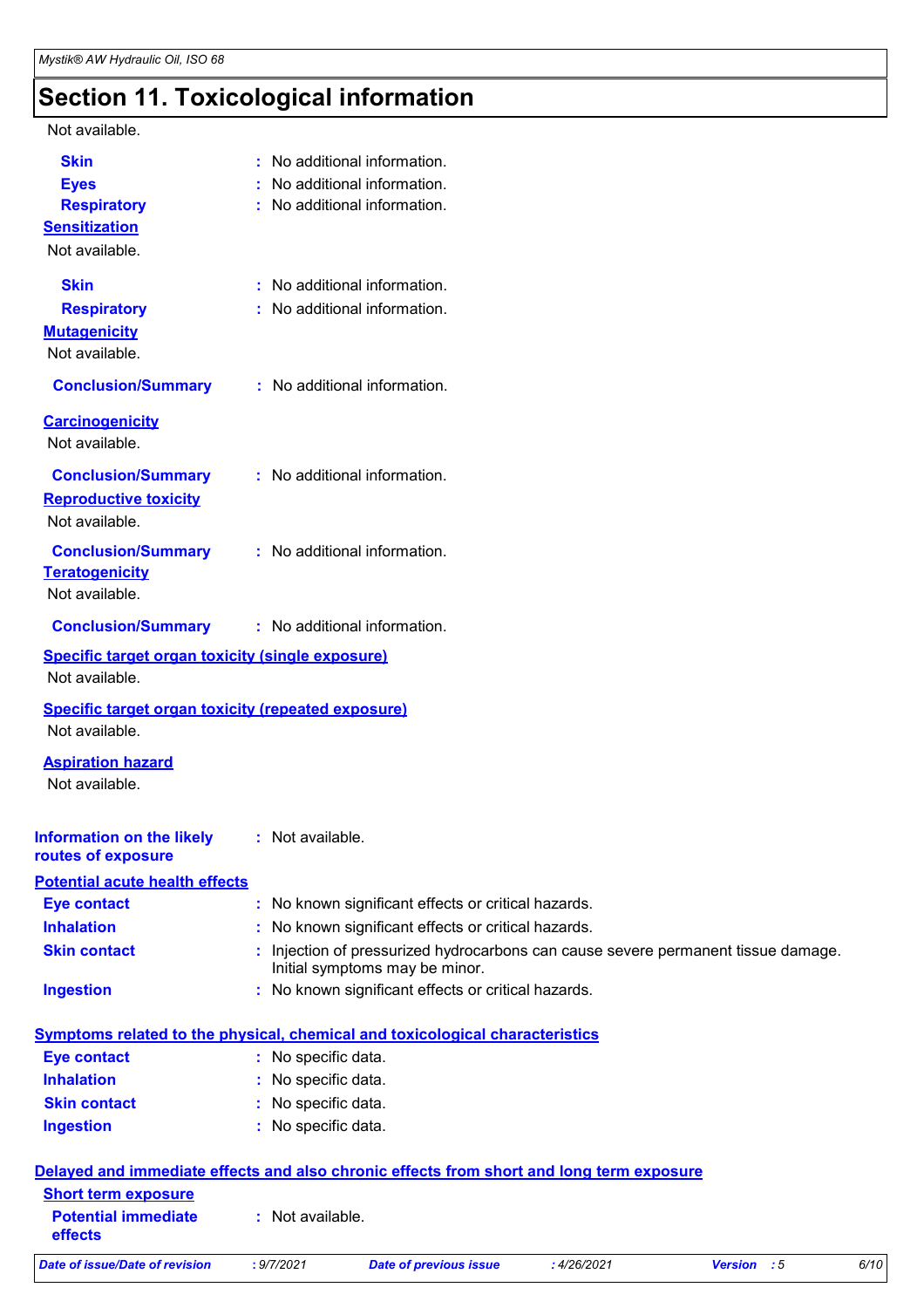## **Section 11. Toxicological information**

| Not available.                                                            |                                                                                                                     |
|---------------------------------------------------------------------------|---------------------------------------------------------------------------------------------------------------------|
| <b>Skin</b>                                                               | : No additional information.                                                                                        |
| <b>Eyes</b>                                                               | No additional information.                                                                                          |
| <b>Respiratory</b>                                                        | : No additional information.                                                                                        |
| <b>Sensitization</b>                                                      |                                                                                                                     |
| Not available.                                                            |                                                                                                                     |
| <b>Skin</b>                                                               | : No additional information.                                                                                        |
| <b>Respiratory</b>                                                        | : No additional information.                                                                                        |
| <b>Mutagenicity</b>                                                       |                                                                                                                     |
| Not available.                                                            |                                                                                                                     |
| <b>Conclusion/Summary</b>                                                 | : No additional information.                                                                                        |
| <b>Carcinogenicity</b><br>Not available.                                  |                                                                                                                     |
|                                                                           |                                                                                                                     |
| <b>Conclusion/Summary</b>                                                 | : No additional information.                                                                                        |
| <b>Reproductive toxicity</b>                                              |                                                                                                                     |
| Not available.                                                            |                                                                                                                     |
| <b>Conclusion/Summary</b>                                                 | : No additional information.                                                                                        |
| <b>Teratogenicity</b><br>Not available.                                   |                                                                                                                     |
|                                                                           |                                                                                                                     |
| <b>Conclusion/Summary</b>                                                 | : No additional information.                                                                                        |
| <b>Specific target organ toxicity (single exposure)</b><br>Not available. |                                                                                                                     |
| <b>Specific target organ toxicity (repeated exposure)</b>                 |                                                                                                                     |
| Not available.                                                            |                                                                                                                     |
| <b>Aspiration hazard</b>                                                  |                                                                                                                     |
| Not available.                                                            |                                                                                                                     |
| <b>Information on the likely</b>                                          | : Not available.                                                                                                    |
| routes of exposure                                                        |                                                                                                                     |
| <b>Potential acute health effects</b>                                     |                                                                                                                     |
| <b>Eye contact</b>                                                        | : No known significant effects or critical hazards.                                                                 |
| <b>Inhalation</b>                                                         | : No known significant effects or critical hazards.                                                                 |
| <b>Skin contact</b>                                                       | : Injection of pressurized hydrocarbons can cause severe permanent tissue damage.<br>Initial symptoms may be minor. |
| <b>Ingestion</b>                                                          | : No known significant effects or critical hazards.                                                                 |
|                                                                           | <b>Symptoms related to the physical, chemical and toxicological characteristics</b>                                 |
| <b>Eye contact</b>                                                        | : No specific data.                                                                                                 |
| <b>Inhalation</b>                                                         | : No specific data.                                                                                                 |
| <b>Skin contact</b>                                                       | : No specific data.                                                                                                 |
| <b>Ingestion</b>                                                          | : No specific data.                                                                                                 |
|                                                                           |                                                                                                                     |
|                                                                           | Delayed and immediate effects and also chronic effects from short and long term exposure                            |
| <b>Short term exposure</b>                                                |                                                                                                                     |

| <b>Short term exposure</b><br><b>Potential immediate</b><br>effects |            | Not available.         |             |             |      |
|---------------------------------------------------------------------|------------|------------------------|-------------|-------------|------|
| Date of issue/Date of revision                                      | : 9/7/2021 | Date of previous issue | : 4/26/2021 | Version : 5 | 6/10 |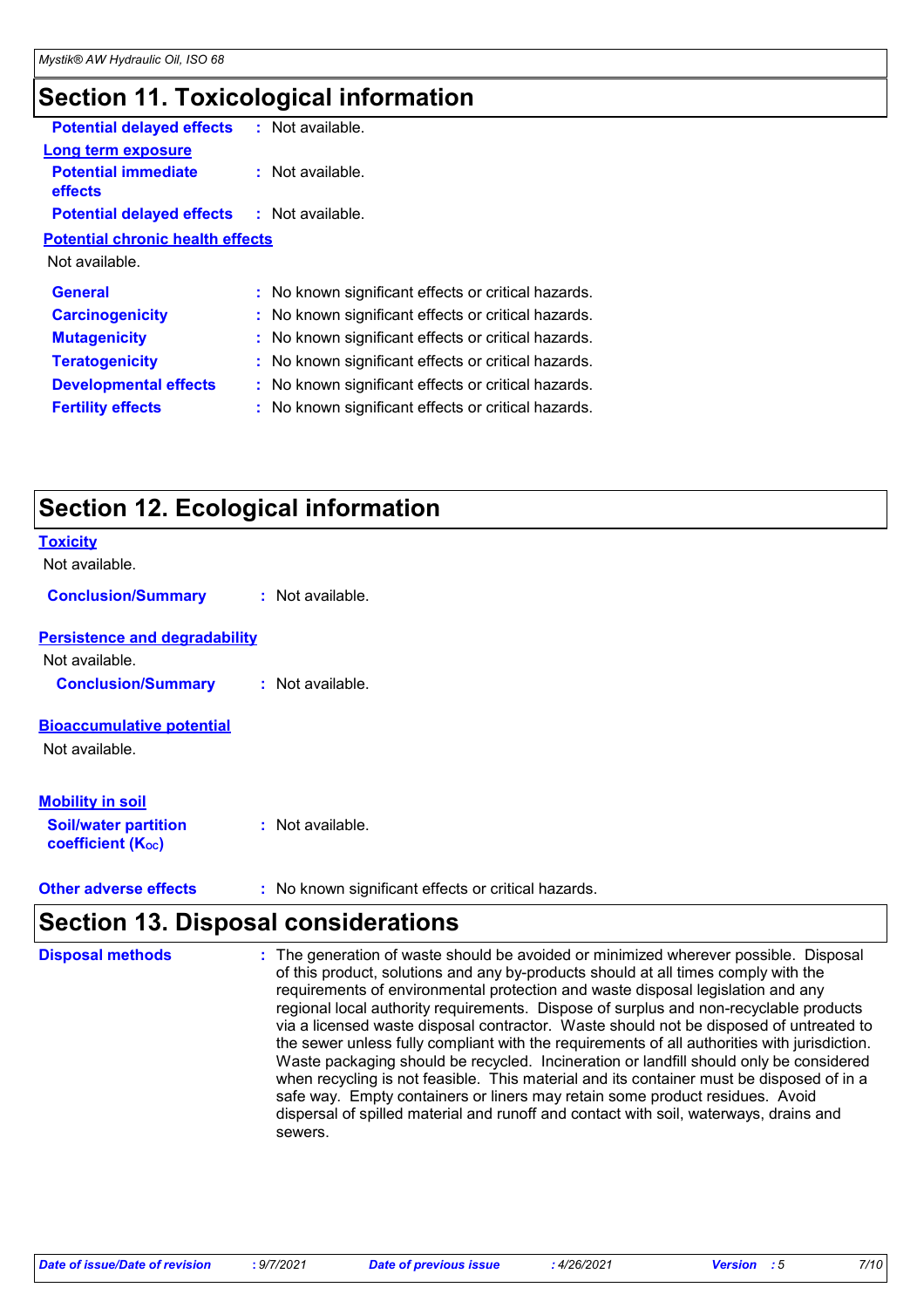## **Section 11. Toxicological information**

| <b>Potential delayed effects</b>                  | : Not available.                                    |
|---------------------------------------------------|-----------------------------------------------------|
| Long term exposure                                |                                                     |
| <b>Potential immediate</b><br>effects             | : Not available.                                    |
| <b>Potential delayed effects : Not available.</b> |                                                     |
| <b>Potential chronic health effects</b>           |                                                     |
| Not available.                                    |                                                     |
| <b>General</b>                                    | : No known significant effects or critical hazards. |
| <b>Carcinogenicity</b>                            | : No known significant effects or critical hazards. |
| <b>Mutagenicity</b>                               | : No known significant effects or critical hazards. |
| <b>Teratogenicity</b>                             | : No known significant effects or critical hazards. |
| <b>Developmental effects</b>                      | : No known significant effects or critical hazards. |
| <b>Fertility effects</b>                          | : No known significant effects or critical hazards. |
|                                                   |                                                     |

## **Section 12. Ecological information**

| <b>Toxicity</b><br>Not available.                       |                                                     |
|---------------------------------------------------------|-----------------------------------------------------|
|                                                         |                                                     |
| <b>Conclusion/Summary</b>                               | : Not available.                                    |
| <b>Persistence and degradability</b>                    |                                                     |
| Not available.                                          |                                                     |
| <b>Conclusion/Summary</b>                               | : Not available.                                    |
| <b>Bioaccumulative potential</b>                        |                                                     |
| Not available.                                          |                                                     |
| <b>Mobility in soil</b>                                 |                                                     |
| <b>Soil/water partition</b><br><b>coefficient (Koc)</b> | : Not available.                                    |
| <b>Other adverse effects</b>                            | : No known significant effects or critical hazards. |

## **Section 13. Disposal considerations**

The generation of waste should be avoided or minimized wherever possible. Disposal of this product, solutions and any by-products should at all times comply with the requirements of environmental protection and waste disposal legislation and any regional local authority requirements. Dispose of surplus and non-recyclable products via a licensed waste disposal contractor. Waste should not be disposed of untreated to the sewer unless fully compliant with the requirements of all authorities with jurisdiction. Waste packaging should be recycled. Incineration or landfill should only be considered when recycling is not feasible. This material and its container must be disposed of in a safe way. Empty containers or liners may retain some product residues. Avoid dispersal of spilled material and runoff and contact with soil, waterways, drains and sewers. **Disposal methods :**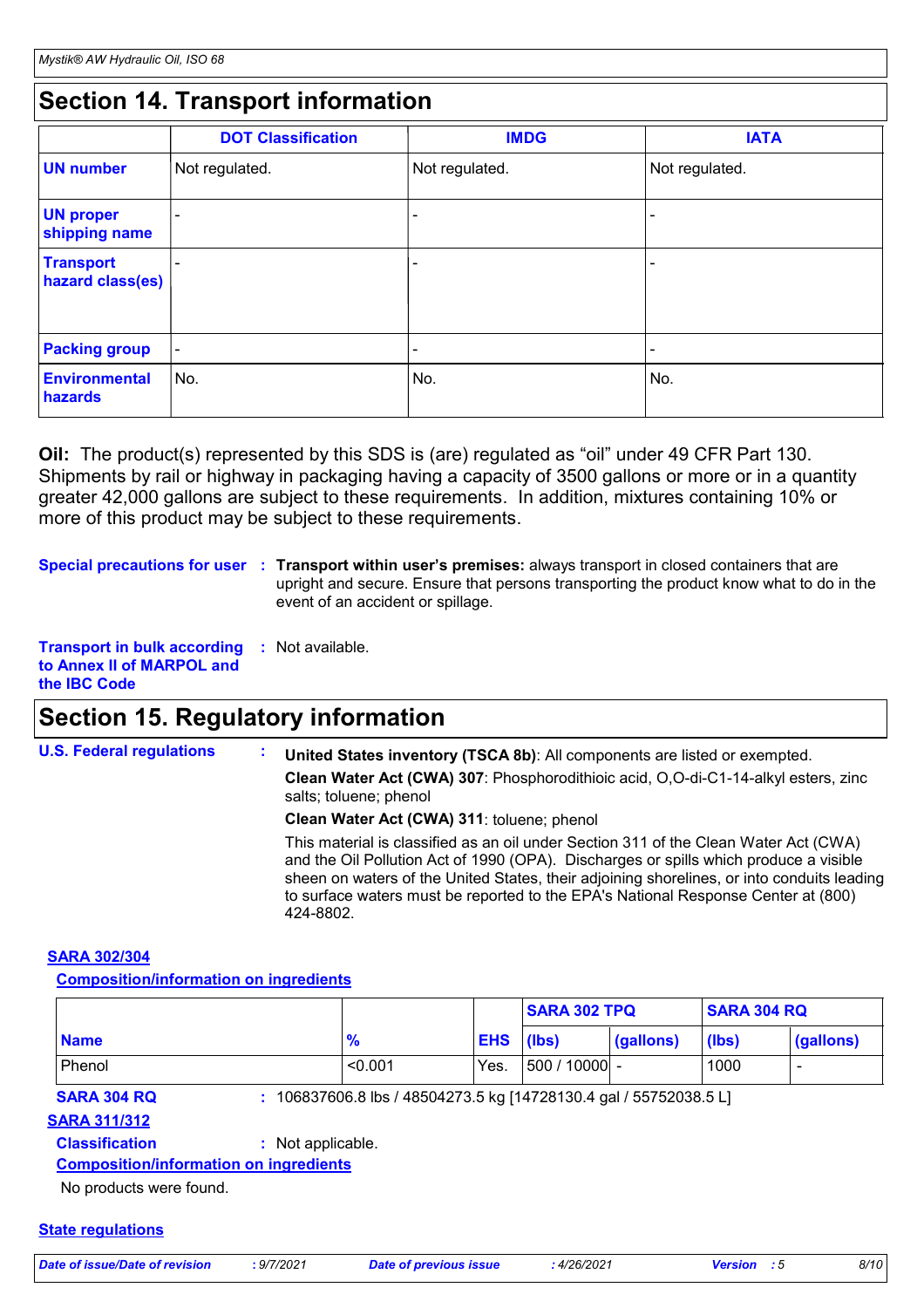## **Section 14. Transport information**

|                                      | <b>DOT Classification</b> | <b>IMDG</b>              | <b>IATA</b>              |
|--------------------------------------|---------------------------|--------------------------|--------------------------|
| <b>UN number</b>                     | Not regulated.            | Not regulated.           | Not regulated.           |
| <b>UN proper</b><br>shipping name    | $\overline{\phantom{0}}$  | ۰                        | ٠                        |
| <b>Transport</b><br>hazard class(es) | $\overline{\phantom{0}}$  | $\overline{\phantom{0}}$ | $\qquad \qquad$          |
| <b>Packing group</b>                 | $\overline{\phantom{a}}$  | $\overline{\phantom{a}}$ | $\overline{\phantom{a}}$ |
| <b>Environmental</b><br>hazards      | ∣No.                      | No.                      | No.                      |

**Oil:** The product(s) represented by this SDS is (are) regulated as "oil" under 49 CFR Part 130. Shipments by rail or highway in packaging having a capacity of 3500 gallons or more or in a quantity greater 42,000 gallons are subject to these requirements. In addition, mixtures containing 10% or more of this product may be subject to these requirements.

**Special precautions for user** : Transport within user's premises: always transport in closed containers that are upright and secure. Ensure that persons transporting the product know what to do in the event of an accident or spillage.

**Transport in bulk according :** Not available. **to Annex II of MARPOL and the IBC Code**

## **Section 15. Regulatory information**

**U.S. Federal regulations : Clean Water Act (CWA) 307**: Phosphorodithioic acid, O,O-di-C1-14-alkyl esters, zinc salts; toluene; phenol **Clean Water Act (CWA) 311**: toluene; phenol **United States inventory (TSCA 8b)**: All components are listed or exempted.

> This material is classified as an oil under Section 311 of the Clean Water Act (CWA) and the Oil Pollution Act of 1990 (OPA). Discharges or spills which produce a visible sheen on waters of the United States, their adjoining shorelines, or into conduits leading to surface waters must be reported to the EPA's National Response Center at (800) 424-8802.

### **SARA 302/304**

**Composition/information on ingredients**

|                    |                                                                   |            | <b>SARA 302 TPQ</b> |           | <b>SARA 304 RQ</b> |           |
|--------------------|-------------------------------------------------------------------|------------|---------------------|-----------|--------------------|-----------|
| <b>Name</b>        | %                                                                 | <b>EHS</b> | (lbs)               | (gallons) | (lbs)              | (gallons) |
| Phenol             | < 0.001                                                           | Yes.       | 500 / 10000 -       |           | 1000               |           |
| <b>CADA 204 DO</b> | 100007000 0 lhs / 10501079 E ks $111790190$ 1 ssl / EE750090 E LI |            |                     |           |                    |           |

### **SARA 311/312**

**SARA 304 RQ :** 106837606.8 lbs / 48504273.5 kg [14728130.4 gal / 55752038.5 L]

**Classification :** Not applicable.

**Composition/information on ingredients**

No products were found.

### **State regulations**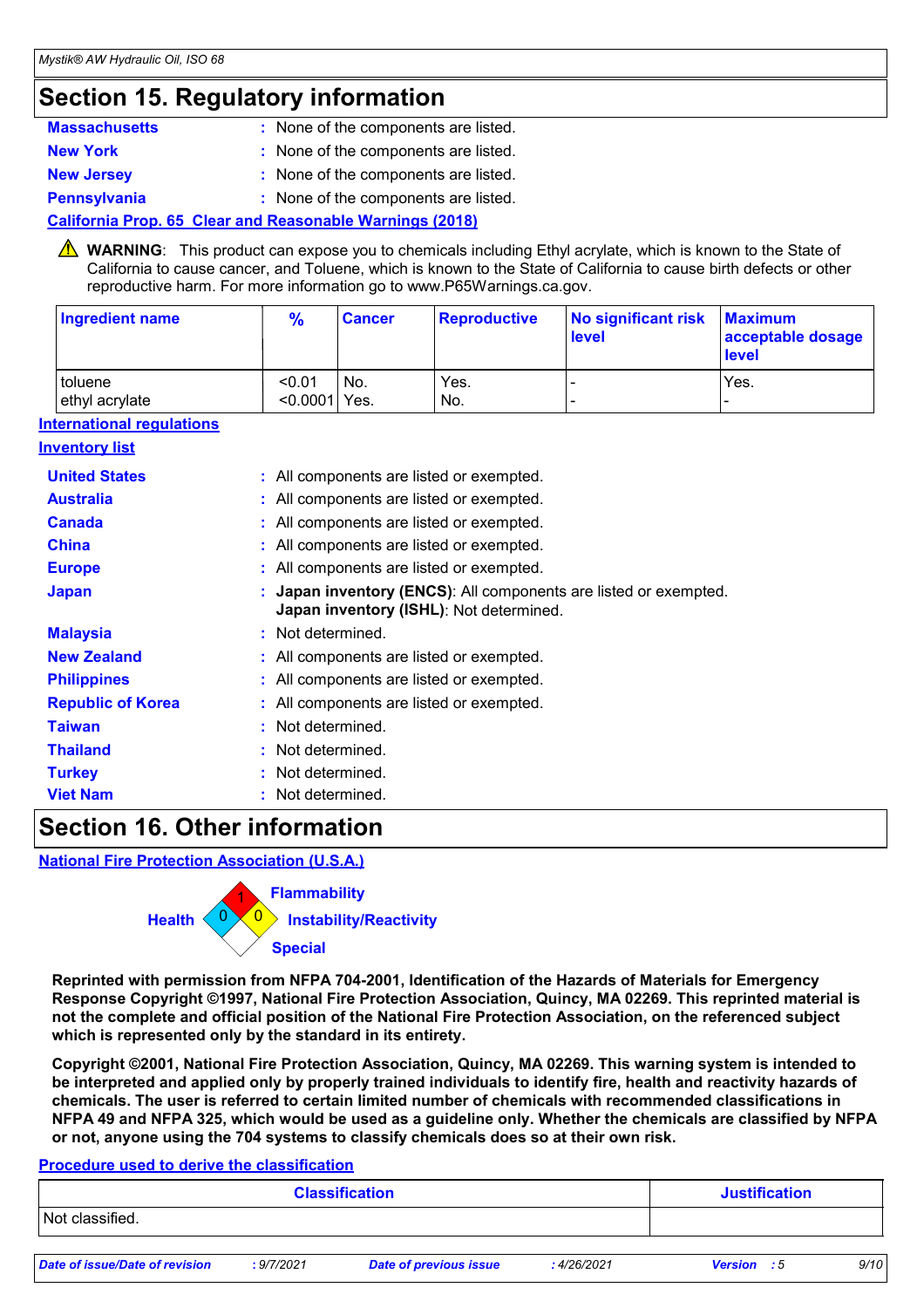## **Section 15. Regulatory information**

| <b>Massachusetts</b> | : None of the components are listed. |
|----------------------|--------------------------------------|
| <b>New York</b>      | : None of the components are listed. |
| <b>New Jersey</b>    | : None of the components are listed. |
| <b>Pennsylvania</b>  | : None of the components are listed. |

### **California Prop. 65 Clear and Reasonable Warnings (2018)**

WARNING: This product can expose you to chemicals including Ethyl acrylate, which is known to the State of California to cause cancer, and Toluene, which is known to the State of California to cause birth defects or other reproductive harm. For more information go to www.P65Warnings.ca.gov.

| Ingredient name           | $\frac{9}{6}$             | <b>Cancer</b> | Reproductive | No significant risk<br><b>level</b> | <b>Maximum</b><br>acceptable dosage<br><b>level</b> |
|---------------------------|---------------------------|---------------|--------------|-------------------------------------|-----------------------------------------------------|
| toluene<br>ethyl acrylate | < 0.01<br>$< 0.0001$ Yes. | · No.         | Yes.<br>No.  | -<br>-                              | Yes.                                                |

### **International regulations**

### **Inventory list**

| <b>United States</b>     | : All components are listed or exempted.                                                                    |
|--------------------------|-------------------------------------------------------------------------------------------------------------|
| <b>Australia</b>         | : All components are listed or exempted.                                                                    |
| <b>Canada</b>            | : All components are listed or exempted.                                                                    |
| <b>China</b>             | : All components are listed or exempted.                                                                    |
| <b>Europe</b>            | : All components are listed or exempted.                                                                    |
| <b>Japan</b>             | : Japan inventory (ENCS): All components are listed or exempted.<br>Japan inventory (ISHL): Not determined. |
| <b>Malaysia</b>          | : Not determined.                                                                                           |
| <b>New Zealand</b>       | : All components are listed or exempted.                                                                    |
| <b>Philippines</b>       | : All components are listed or exempted.                                                                    |
| <b>Republic of Korea</b> | : All components are listed or exempted.                                                                    |
| <b>Taiwan</b>            | : Not determined.                                                                                           |
| <b>Thailand</b>          | : Not determined.                                                                                           |
| <b>Turkey</b>            | : Not determined.                                                                                           |
| <b>Viet Nam</b>          | : Not determined.                                                                                           |

## **Section 16. Other information**

**National Fire Protection Association (U.S.A.)**



**Reprinted with permission from NFPA 704-2001, Identification of the Hazards of Materials for Emergency Response Copyright ©1997, National Fire Protection Association, Quincy, MA 02269. This reprinted material is not the complete and official position of the National Fire Protection Association, on the referenced subject which is represented only by the standard in its entirety.**

**Copyright ©2001, National Fire Protection Association, Quincy, MA 02269. This warning system is intended to be interpreted and applied only by properly trained individuals to identify fire, health and reactivity hazards of chemicals. The user is referred to certain limited number of chemicals with recommended classifications in NFPA 49 and NFPA 325, which would be used as a guideline only. Whether the chemicals are classified by NFPA or not, anyone using the 704 systems to classify chemicals does so at their own risk.**

### **Procedure used to derive the classification**

| <b>Classification</b> | <b>Justification</b> |
|-----------------------|----------------------|
| Not classified.       |                      |
|                       |                      |